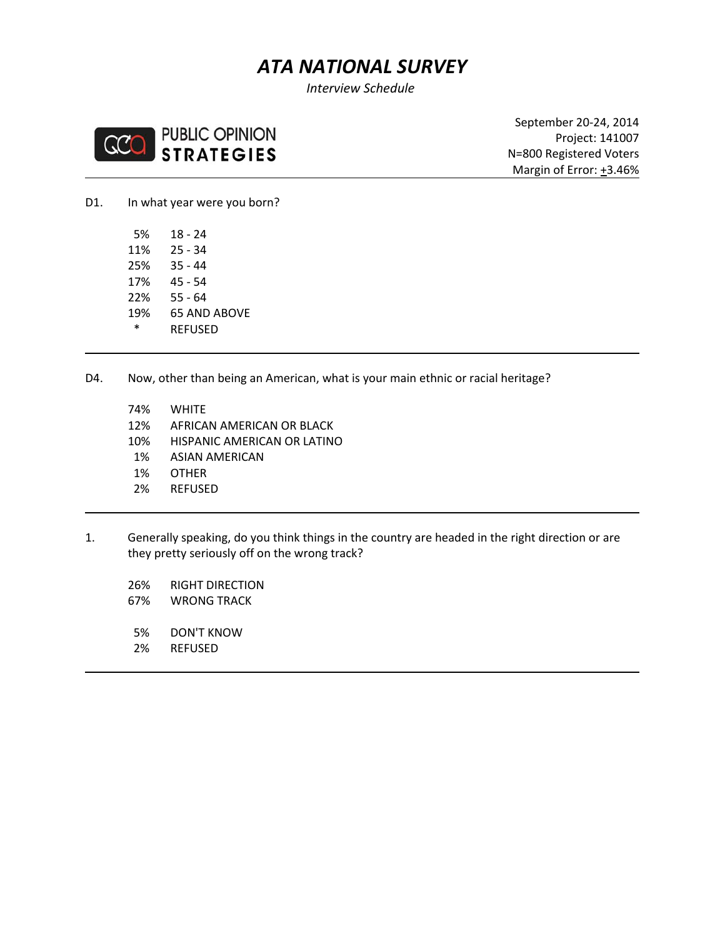# *ATA NATIONAL SURVEY*

*Interview Schedule*



September 20‐24, 2014 Project: 141007 N=800 Registered Voters **Margin of Error: +3.46%** 

D1. In what year were you born?

 5% 18 ‐ 24 11% 25 ‐ 34 25% 35 ‐ 44 17% 45 ‐ 54 22% 55 ‐ 64 19% 65 AND ABOVE \* REFUSED

D4. Now, other than being an American, what is your main ethnic or racial heritage?

- 74% WHITE
- 12% AFRICAN AMERICAN OR BLACK
- 10% HISPANIC AMERICAN OR LATINO
- 1% ASIAN AMERICAN
- 1% OTHER
- 2% REFUSED
- 1. Generally speaking, do you think things in the country are headed in the right direction or are they pretty seriously off on the wrong track?
	- 26% RIGHT DIRECTION
	- 67% WRONG TRACK
	- 5% DON'T KNOW
	- 2% REFUSED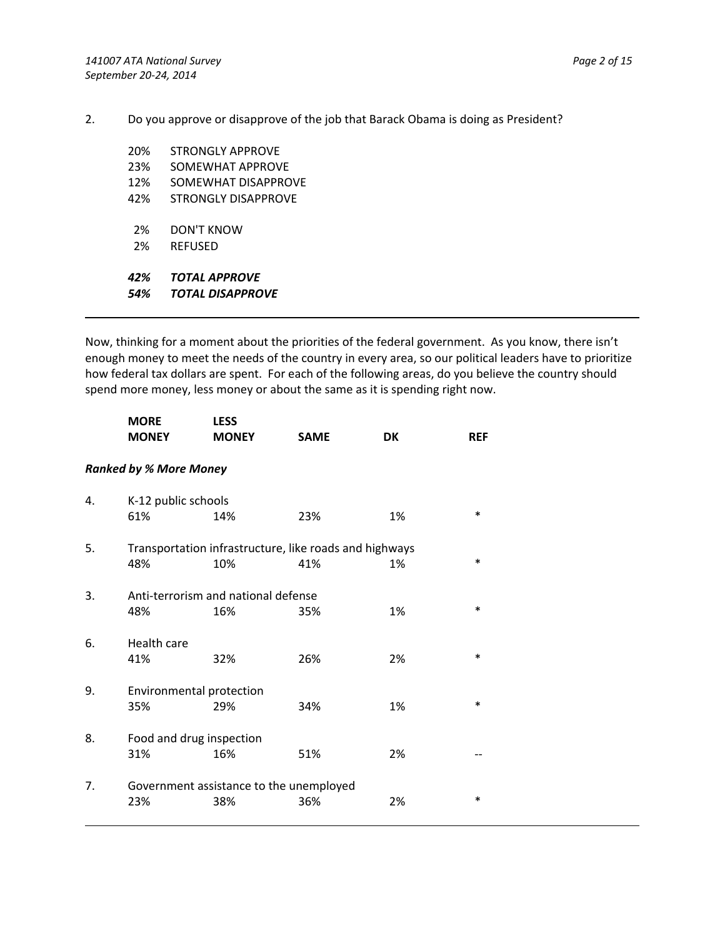2. Do you approve or disapprove of the job that Barack Obama is doing as President?

| TOTAL APPROVF<br><b>TOTAL DISAPPROVE</b> |
|------------------------------------------|
| RFFUSFD                                  |
|                                          |
| DON'T KNOW                               |
| STRONGLY DISAPPROVE                      |
| SOMEWHAT DISAPPROVE                      |
| SOMEWHAT APPROVE                         |
| STRONGI Y APPROVE                        |
|                                          |

Now, thinking for a moment about the priorities of the federal government. As you know, there isn't enough money to meet the needs of the country in every area, so our political leaders have to prioritize how federal tax dollars are spent. For each of the following areas, do you believe the country should spend more money, less money or about the same as it is spending right now.

|    | <b>MORE</b><br><b>MONEY</b>   | <b>LESS</b><br><b>MONEY</b>                            | <b>SAME</b> | <b>DK</b> | <b>REF</b> |
|----|-------------------------------|--------------------------------------------------------|-------------|-----------|------------|
|    | <b>Ranked by % More Money</b> |                                                        |             |           |            |
| 4. | K-12 public schools           |                                                        |             |           |            |
|    | 61%                           | 14%                                                    | 23%         | 1%        | $\ast$     |
| 5. |                               | Transportation infrastructure, like roads and highways |             |           |            |
|    | 48%                           | 10%                                                    | 41%         | 1%        | $\ast$     |
| 3. |                               | Anti-terrorism and national defense                    |             |           |            |
|    | 48%                           | 16%                                                    | 35%         | 1%        | $\ast$     |
| 6. | Health care                   |                                                        |             |           |            |
|    | 41%                           | 32%                                                    | 26%         | 2%        | $\ast$     |
| 9. | Environmental protection      |                                                        |             |           |            |
|    | 35%                           | 29%                                                    | 34%         | 1%        | $\ast$     |
| 8. | Food and drug inspection      |                                                        |             |           |            |
|    | 31%                           | 16%                                                    | 51%         | 2%        |            |
| 7. |                               | Government assistance to the unemployed                |             |           |            |
|    | 23%                           | 38%                                                    | 36%         | 2%        | $\ast$     |
|    |                               |                                                        |             |           |            |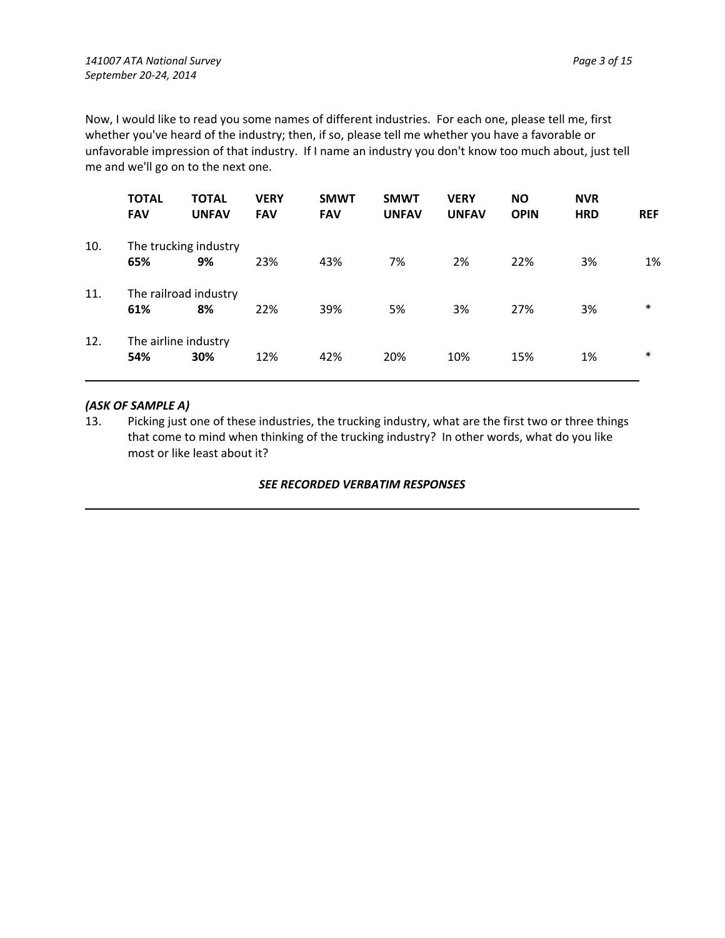Now, I would like to read you some names of different industries. For each one, please tell me, first whether you've heard of the industry; then, if so, please tell me whether you have a favorable or unfavorable impression of that industry. If I name an industry you don't know too much about, just tell me and we'll go on to the next one.

|     | <b>TOTAL</b><br><b>FAV</b> | <b>TOTAL</b><br><b>UNFAV</b> | <b>VERY</b><br><b>FAV</b> | <b>SMWT</b><br><b>FAV</b> | <b>SMWT</b><br><b>UNFAV</b> | <b>VERY</b><br><b>UNFAV</b> | <b>NO</b><br><b>OPIN</b> | <b>NVR</b><br><b>HRD</b> | <b>REF</b> |
|-----|----------------------------|------------------------------|---------------------------|---------------------------|-----------------------------|-----------------------------|--------------------------|--------------------------|------------|
| 10. |                            | The trucking industry        |                           |                           |                             |                             |                          |                          |            |
|     | 65%                        | 9%                           | 23%                       | 43%                       | 7%                          | 2%                          | 22%                      | 3%                       | 1%         |
| 11. |                            | The railroad industry        |                           |                           |                             |                             |                          |                          |            |
|     | 61%                        | 8%                           | 22%                       | 39%                       | 5%                          | 3%                          | 27%                      | 3%                       | $\ast$     |
| 12. |                            | The airline industry         |                           |                           |                             |                             |                          |                          |            |
|     | 54%                        | 30%                          | 12%                       | 42%                       | 20%                         | 10%                         | 15%                      | 1%                       | $\ast$     |
|     |                            |                              |                           |                           |                             |                             |                          |                          |            |

# *(ASK OF SAMPLE A)*

13. Picking just one of these industries, the trucking industry, what are the first two or three things that come to mind when thinking of the trucking industry? In other words, what do you like most or like least about it?

## *SEE RECORDED VERBATIM RESPONSES*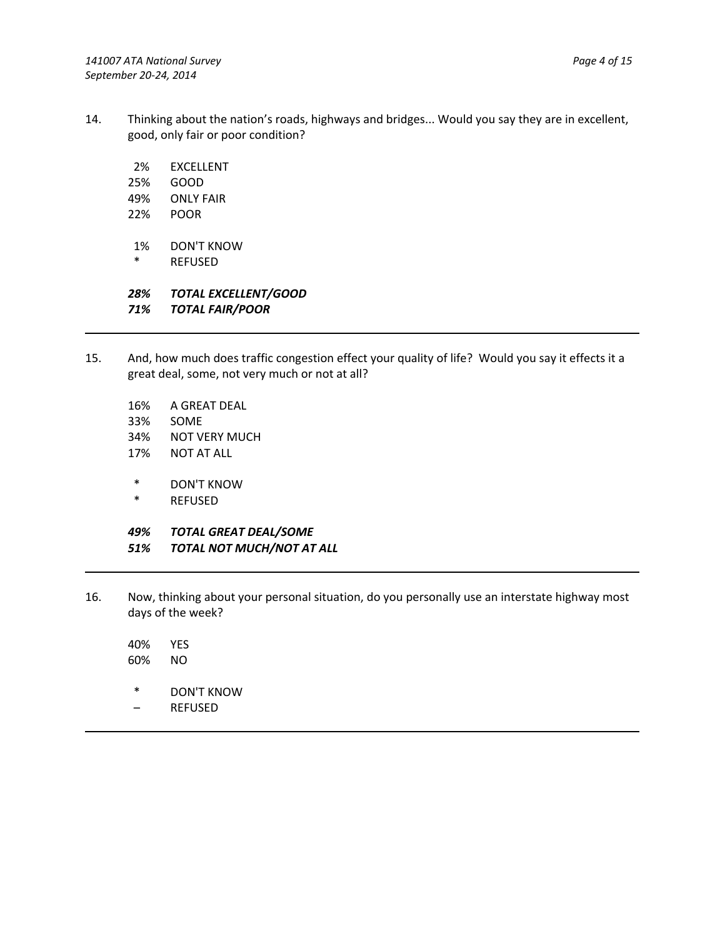- 14. Thinking about the nation's roads, highways and bridges... Would you say they are in excellent, good, only fair or poor condition?
	- 2% EXCELLENT
	- 25% GOOD
	- 49% ONLY FAIR
	- 22% POOR
	- 1% DON'T KNOW
	- \* REFUSED

*28% TOTAL EXCELLENT/GOOD 71% TOTAL FAIR/POOR*

- 15. And, how much does traffic congestion effect your quality of life? Would you say it effects it a great deal, some, not very much or not at all?
	- 16% A GREAT DEAL
	- 33% SOME
	- 34% NOT VERY MUCH
	- 17% NOT AT ALL
	- \* DON'T KNOW
	- **REFUSED**

*49% TOTAL GREAT DEAL/SOME 51% TOTAL NOT MUCH/NOT AT ALL*

16. Now, thinking about your personal situation, do you personally use an interstate highway most days of the week?

40% YES 60% NO

- \* DON'T KNOW
- REFUSED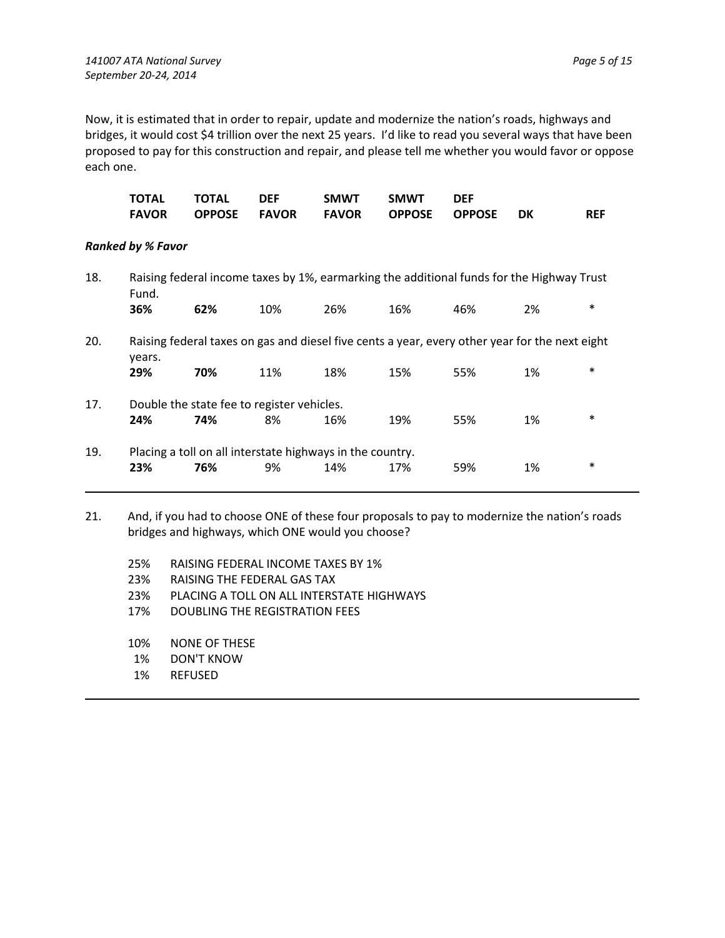Now, it is estimated that in order to repair, update and modernize the nation's roads, highways and bridges, it would cost \$4 trillion over the next 25 years. I'd like to read you several ways that have been proposed to pay for this construction and repair, and please tell me whether you would favor or oppose each one.

| TOTAL TOTAL DEF | SMWT SMWT DEF                             |  |            |
|-----------------|-------------------------------------------|--|------------|
|                 | FAVOR OPPOSE FAVOR FAVOR OPPOSE OPPOSE DK |  | <b>REF</b> |

#### *Ranked by % Favor*

| 18. | Fund.                                                     |     |     |     |     | Raising federal income taxes by 1%, earmarking the additional funds for the Highway Trust      |    |        |
|-----|-----------------------------------------------------------|-----|-----|-----|-----|------------------------------------------------------------------------------------------------|----|--------|
|     | 36%                                                       | 62% | 10% | 26% | 16% | 46%                                                                                            | 2% | $\ast$ |
| 20. | years.                                                    |     |     |     |     | Raising federal taxes on gas and diesel five cents a year, every other year for the next eight |    |        |
|     | 29%                                                       | 70% | 11% | 18% | 15% | 55%                                                                                            | 1% | $\ast$ |
| 17. | Double the state fee to register vehicles.                |     |     |     |     |                                                                                                |    |        |
|     | 24%                                                       | 74% | 8%  | 16% | 19% | 55%                                                                                            | 1% | $\ast$ |
| 19. | Placing a toll on all interstate highways in the country. |     |     |     |     |                                                                                                |    |        |
|     | 23%                                                       | 76% | 9%  | 14% | 17% | 59%                                                                                            | 1% | $\ast$ |

21. And, if you had to choose ONE of these four proposals to pay to modernize the nation's roads bridges and highways, which ONE would you choose?

- 25% RAISING FEDERAL INCOME TAXES BY 1%
- 23% RAISING THE FEDERAL GAS TAX
- 23% PLACING A TOLL ON ALL INTERSTATE HIGHWAYS
- 17% DOUBLING THE REGISTRATION FEES
- 10% NONE OF THESE
- 1% DON'T KNOW
- 1% REFUSED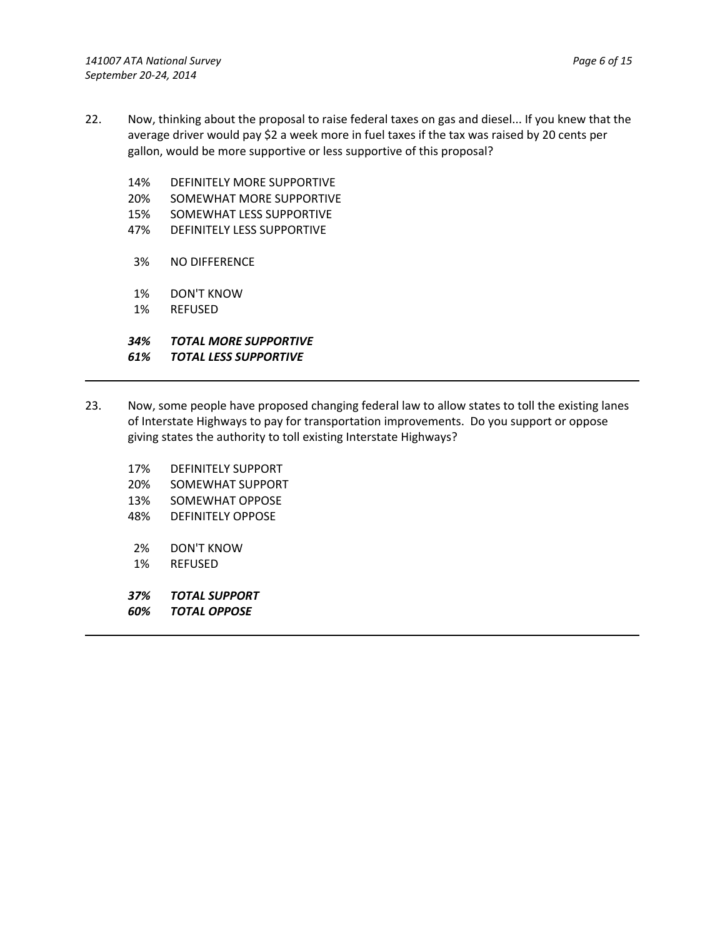- 22. Now, thinking about the proposal to raise federal taxes on gas and diesel... If you knew that the average driver would pay \$2 a week more in fuel taxes if the tax was raised by 20 cents per gallon, would be more supportive or less supportive of this proposal?
	- 14% DEFINITELY MORE SUPPORTIVE
	- 20% SOMEWHAT MORE SUPPORTIVE
	- 15% SOMEWHAT LESS SUPPORTIVE
	- 47% DEFINITELY LESS SUPPORTIVE
	- 3% NO DIFFERENCE
	- 1% DON'T KNOW
	- 1% REFUSED

# *34% TOTAL MORE SUPPORTIVE*

### *61% TOTAL LESS SUPPORTIVE*

- 23. Now, some people have proposed changing federal law to allow states to toll the existing lanes of Interstate Highways to pay for transportation improvements. Do you support or oppose giving states the authority to toll existing Interstate Highways?
	- 17% DEFINITELY SUPPORT
	- 20% SOMEWHAT SUPPORT
	- 13% SOMEWHAT OPPOSE
	- 48% DEFINITELY OPPOSE
	- 2% DON'T KNOW
	- 1% REFUSED
	- *37% TOTAL SUPPORT*
	- *60% TOTAL OPPOSE*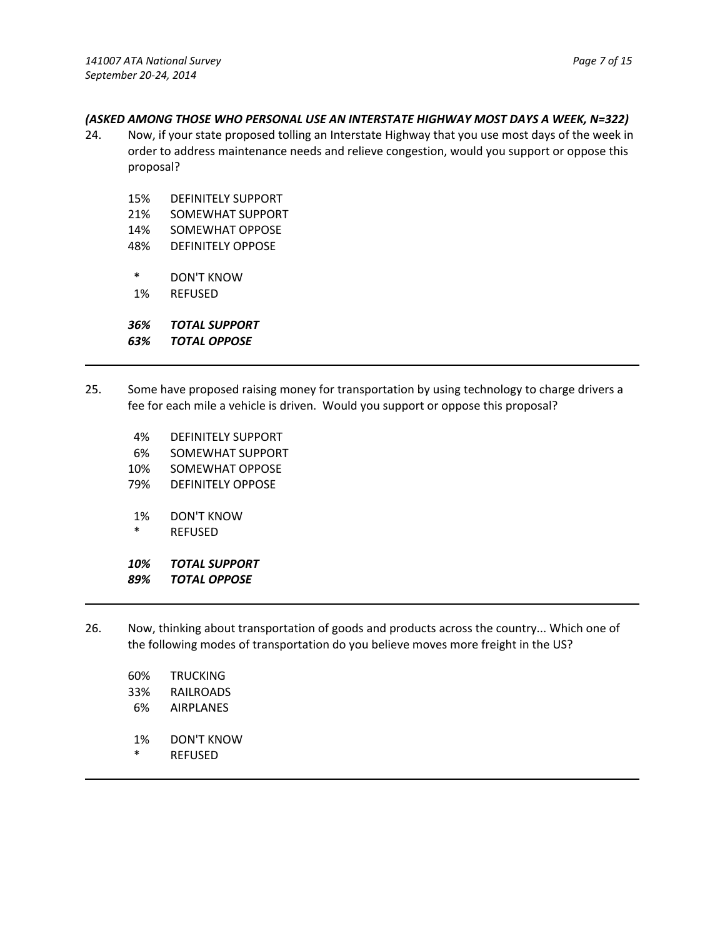#### *(ASKED AMONG THOSE WHO PERSONAL USE AN INTERSTATE HIGHWAY MOST DAYS A WEEK, N=322)*

- 24. Now, if your state proposed tolling an Interstate Highway that you use most days of the week in order to address maintenance needs and relieve congestion, would you support or oppose this proposal?
	- 15% DEFINITELY SUPPORT 21% SOMEWHAT SUPPORT 14% SOMEWHAT OPPOSE
	- 48% DEFINITELY OPPOSE
	- \* DON'T KNOW
	- 1% REFUSED

*36% TOTAL SUPPORT*

*63% TOTAL OPPOSE*

- 25. Some have proposed raising money for transportation by using technology to charge drivers a fee for each mile a vehicle is driven. Would you support or oppose this proposal?
	- 4% DEFINITELY SUPPORT
	- 6% SOMEWHAT SUPPORT
	- 10% SOMEWHAT OPPOSE
	- 79% DEFINITELY OPPOSE
	- 1% DON'T KNOW
	- \* REFUSED

*10% TOTAL SUPPORT*

- *89% TOTAL OPPOSE*
- 26. Now, thinking about transportation of goods and products across the country... Which one of the following modes of transportation do you believe moves more freight in the US?
	- 60% TRUCKING 33% RAILROADS 6% AIRPLANES 1% DON'T KNOW
	- \* REFUSED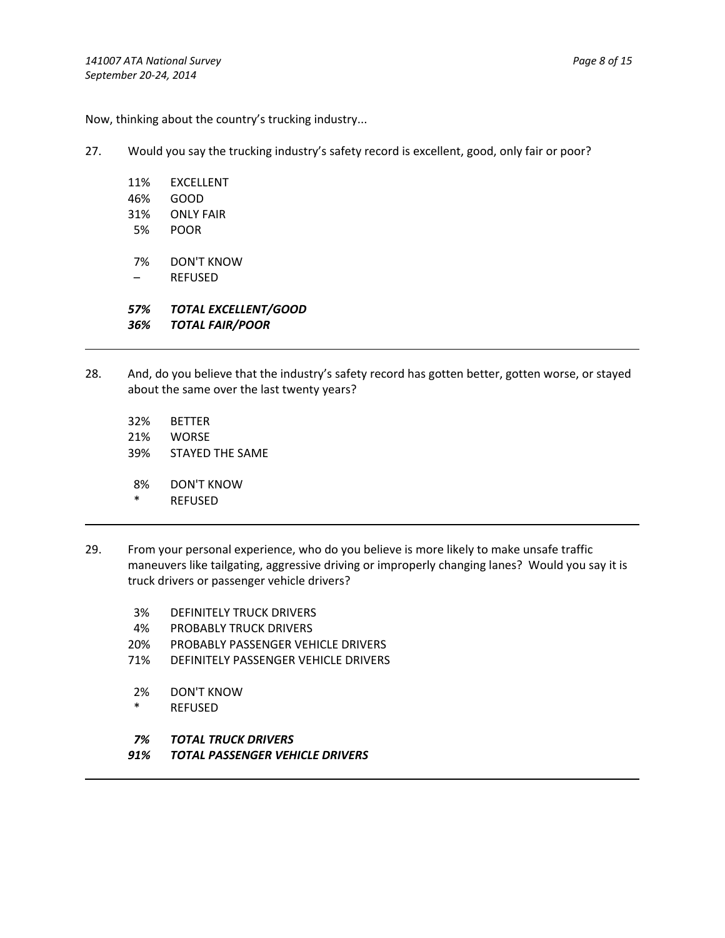Now, thinking about the country's trucking industry...

- 27. Would you say the trucking industry's safety record is excellent, good, only fair or poor?
	- 11% EXCELLENT 46% GOOD 31% ONLY FAIR
	- 5% POOR
	- 7% DON'T KNOW
	- REFUSED

*57% TOTAL EXCELLENT/GOOD 36% TOTAL FAIR/POOR*

- 28. And, do you believe that the industry's safety record has gotten better, gotten worse, or stayed about the same over the last twenty years?
	- 32% BETTER 21% WORSE 39% STAYED THE SAME
	- 8% DON'T KNOW
	- \* REFUSED
- 29. From your personal experience, who do you believe is more likely to make unsafe traffic maneuvers like tailgating, aggressive driving or improperly changing lanes? Would you say it is truck drivers or passenger vehicle drivers?
	- 3% DEFINITELY TRUCK DRIVERS
	- 4% PROBABLY TRUCK DRIVERS
	- 20% PROBABLY PASSENGER VEHICLE DRIVERS
	- 71% DEFINITELY PASSENGER VEHICLE DRIVERS
	- 2% DON'T KNOW
	- \* REFUSED
	- *7% TOTAL TRUCK DRIVERS*
	- *91% TOTAL PASSENGER VEHICLE DRIVERS*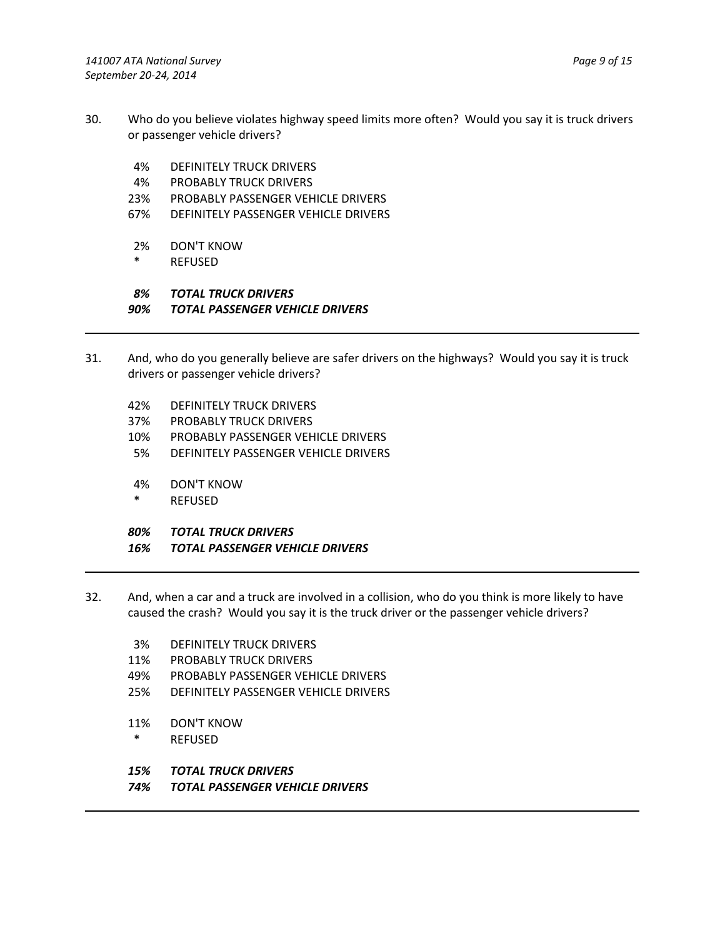- 30. Who do you believe violates highway speed limits more often? Would you say it is truck drivers or passenger vehicle drivers?
	- 4% DEFINITELY TRUCK DRIVERS
	- 4% PROBABLY TRUCK DRIVERS
	- 23% PROBABLY PASSENGER VEHICLE DRIVERS
	- 67% DEFINITELY PASSENGER VEHICLE DRIVERS
	- 2% DON'T KNOW
	- \* REFUSED

# *8% TOTAL TRUCK DRIVERS*

- *90% TOTAL PASSENGER VEHICLE DRIVERS*
- 31. And, who do you generally believe are safer drivers on the highways? Would you say it is truck drivers or passenger vehicle drivers?
	- 42% DEFINITELY TRUCK DRIVERS
	- 37% PROBABLY TRUCK DRIVERS
	- 10% PROBABLY PASSENGER VEHICLE DRIVERS
	- 5% DEFINITELY PASSENGER VEHICLE DRIVERS
	- 4% DON'T KNOW
	- \* REFUSED
	- *80% TOTAL TRUCK DRIVERS*
	- *16% TOTAL PASSENGER VEHICLE DRIVERS*
- 32. And, when a car and a truck are involved in a collision, who do you think is more likely to have caused the crash? Would you say it is the truck driver or the passenger vehicle drivers?
	- 3% DEFINITELY TRUCK DRIVERS
	- 11% PROBABLY TRUCK DRIVERS
	- 49% PROBABLY PASSENGER VEHICLE DRIVERS
	- 25% DEFINITELY PASSENGER VEHICLE DRIVERS
	- 11% DON'T KNOW
	- \* REFUSED
	- *15% TOTAL TRUCK DRIVERS*
	- *74% TOTAL PASSENGER VEHICLE DRIVERS*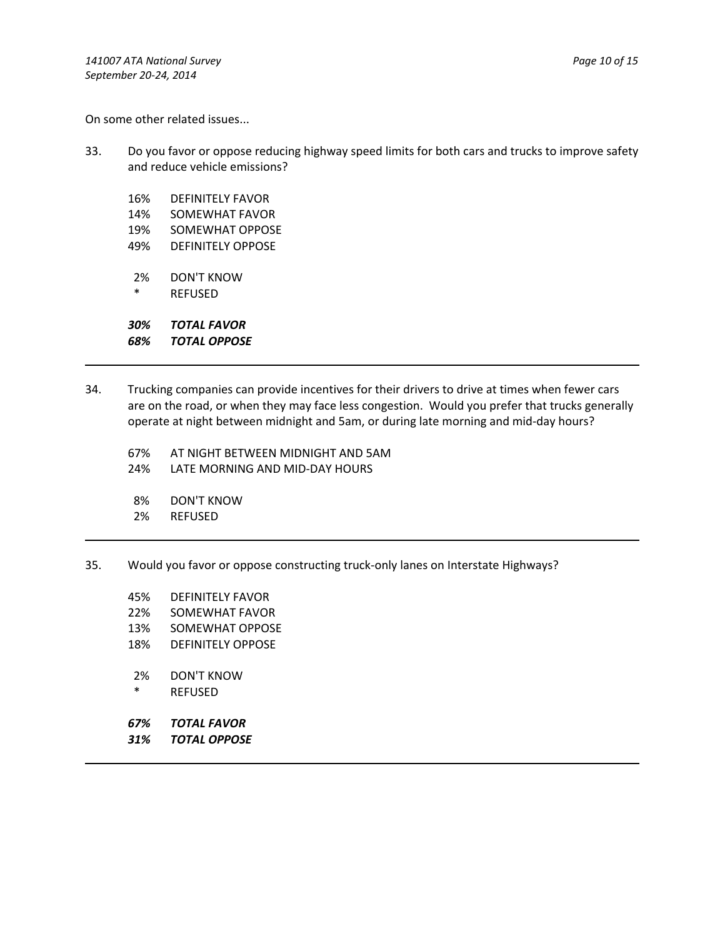On some other related issues...

33. Do you favor or oppose reducing highway speed limits for both cars and trucks to improve safety and reduce vehicle emissions?

16% DEFINITELY FAVOR 14% SOMEWHAT FAVOR 19% SOMEWHAT OPPOSE 49% DEFINITELY OPPOSE 2% DON'T KNOW **REFUSED** 

*30% TOTAL FAVOR 68% TOTAL OPPOSE*

- 34. Trucking companies can provide incentives for their drivers to drive at times when fewer cars are on the road, or when they may face less congestion. Would you prefer that trucks generally operate at night between midnight and 5am, or during late morning and mid‐day hours?
	- 67% AT NIGHT BETWEEN MIDNIGHT AND 5AM
	- 24% LATE MORNING AND MID‐DAY HOURS
	- 8% DON'T KNOW
	- 2% REFUSED
- 35. Would you favor or oppose constructing truck‐only lanes on Interstate Highways?
	- 45% DEFINITELY FAVOR
	- 22% SOMEWHAT FAVOR
	- 13% SOMEWHAT OPPOSE
	- 18% DEFINITELY OPPOSE
	- 2% DON'T KNOW
	- \* REFUSED
	- *67% TOTAL FAVOR*
	- *31% TOTAL OPPOSE*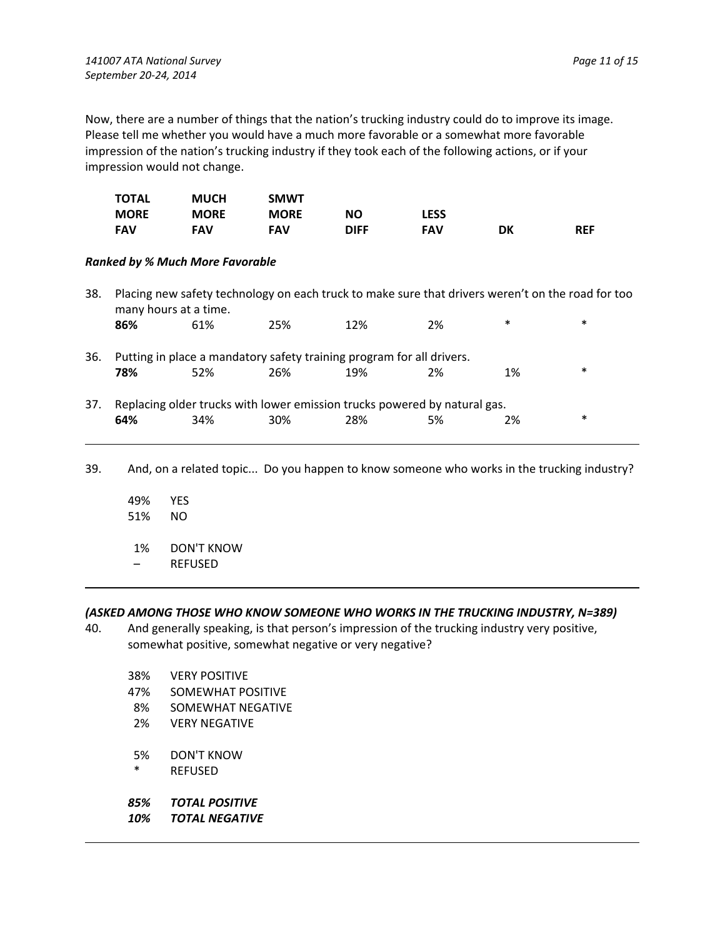Now, there are a number of things that the nation's trucking industry could do to improve its image. Please tell me whether you would have a much more favorable or a somewhat more favorable impression of the nation's trucking industry if they took each of the following actions, or if your impression would not change.

|     | <b>TOTAL</b>                           | <b>MUCH</b> | <b>SMWT</b>                                                               |             |             |                                                                                                   |            |
|-----|----------------------------------------|-------------|---------------------------------------------------------------------------|-------------|-------------|---------------------------------------------------------------------------------------------------|------------|
|     | <b>MORE</b>                            | <b>MORE</b> | <b>MORE</b>                                                               | <b>NO</b>   | <b>LESS</b> |                                                                                                   |            |
|     | <b>FAV</b>                             | <b>FAV</b>  | <b>FAV</b>                                                                | <b>DIFF</b> | <b>FAV</b>  | DK                                                                                                | <b>REF</b> |
|     | <b>Ranked by % Much More Favorable</b> |             |                                                                           |             |             |                                                                                                   |            |
| 38. | many hours at a time.                  |             |                                                                           |             |             | Placing new safety technology on each truck to make sure that drivers weren't on the road for too |            |
|     | 86%                                    | 61%         | 25%                                                                       | 12%         | 2%          | $\ast$                                                                                            | $\ast$     |
| 36. |                                        |             | Putting in place a mandatory safety training program for all drivers.     |             |             |                                                                                                   |            |
|     | 78%                                    | 52%         | 26%                                                                       | 19%         | 2%          | 1%                                                                                                | $\ast$     |
| 37. |                                        |             | Replacing older trucks with lower emission trucks powered by natural gas. |             |             |                                                                                                   |            |
|     | 64%                                    | 34%         | 30%                                                                       | 28%         | 5%          | 2%                                                                                                | $\ast$     |

39. And, on a related topic... Do you happen to know someone who works in the trucking industry?

49% YES 51% NO 1% DON'T KNOW – REFUSED

## *(ASKED AMONG THOSE WHO KNOW SOMEONE WHO WORKS IN THE TRUCKING INDUSTRY, N=389)*

- 40. And generally speaking, is that person's impression of the trucking industry very positive, somewhat positive, somewhat negative or very negative?
	- 38% VERY POSITIVE
	- 47% SOMEWHAT POSITIVE
	- 8% SOMEWHAT NEGATIVE
	- 2% VERY NEGATIVE
	- 5% DON'T KNOW
	- \* REFUSED
	- *85% TOTAL POSITIVE*
	- *10% TOTAL NEGATIVE*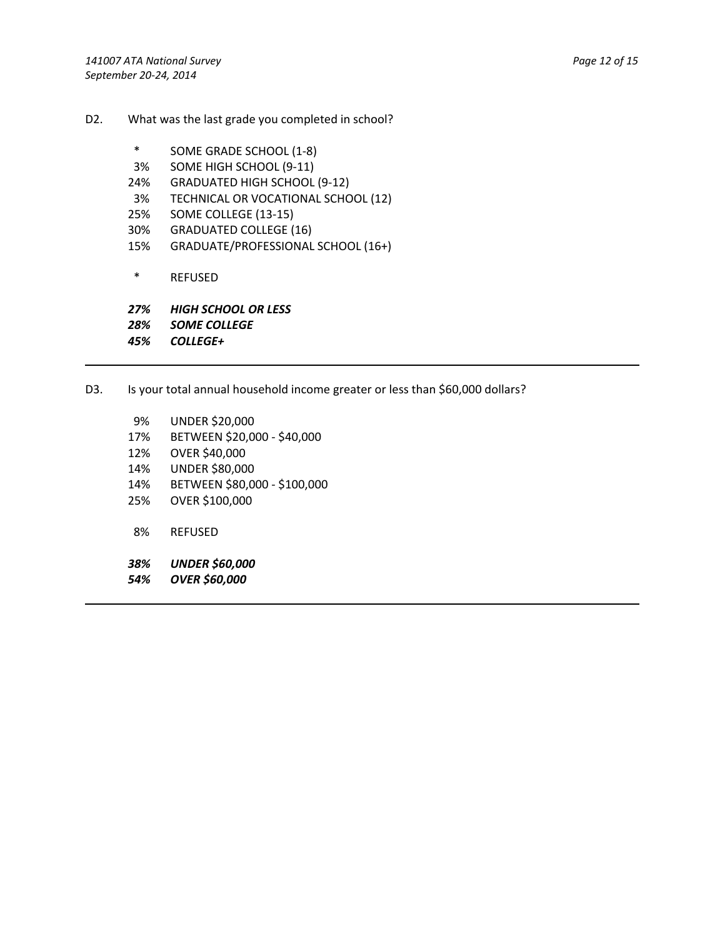- D2. What was the last grade you completed in school?
	- \* SOME GRADE SCHOOL (1‐8)
	- 3% SOME HIGH SCHOOL (9‐11)
	- 24% GRADUATED HIGH SCHOOL (9‐12)
	- 3% TECHNICAL OR VOCATIONAL SCHOOL (12)
	- 25% SOME COLLEGE (13‐15)
	- 30% GRADUATED COLLEGE (16)
	- 15% GRADUATE/PROFESSIONAL SCHOOL (16+)
	- \* REFUSED

*27% HIGH SCHOOL OR LESS 28% SOME COLLEGE*

*45% COLLEGE+*

- D3. Is your total annual household income greater or less than \$60,000 dollars?
	- 9% UNDER \$20,000 17% BETWEEN \$20,000 ‐ \$40,000 12% OVER \$40,000 14% UNDER \$80,000 14% BETWEEN \$80,000 ‐ \$100,000 25% OVER \$100,000 8% REFUSED *38% UNDER \$60,000 54% OVER \$60,000*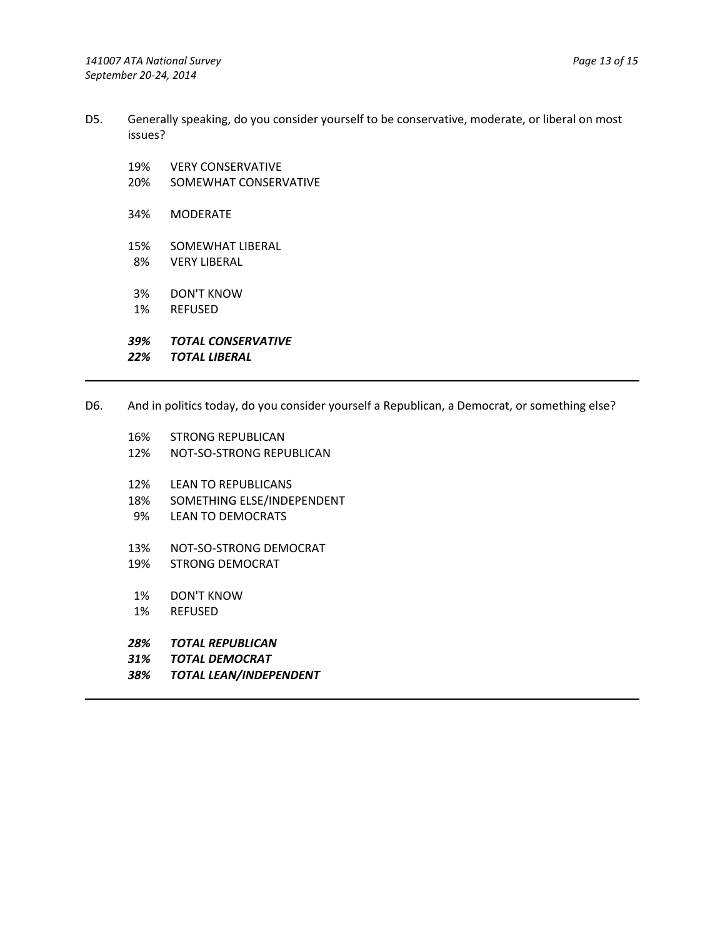- D5. Generally speaking, do you consider yourself to be conservative, moderate, or liberal on most issues?
	- 19% VERY CONSERVATIVE
	- 20% SOMEWHAT CONSERVATIVE
	- 34% MODERATE
	- 15% SOMEWHAT LIBERAL 8% VERY LIBERAL
	- 3% DON'T KNOW
	- 1% REFUSED
	- *39% TOTAL CONSERVATIVE*
	- *22% TOTAL LIBERAL*

D6. And in politics today, do you consider yourself a Republican, a Democrat, or something else?

- 16% STRONG REPUBLICAN
- 12% NOT‐SO‐STRONG REPUBLICAN
- 12% LEAN TO REPUBLICANS
- 18% SOMETHING ELSE/INDEPENDENT
- 9% LEAN TO DEMOCRATS
- 13% NOT‐SO‐STRONG DEMOCRAT
- 19% STRONG DEMOCRAT
- 1% DON'T KNOW
- 1% REFUSED
- *28% TOTAL REPUBLICAN*
- *31% TOTAL DEMOCRAT*
- *38% TOTAL LEAN/INDEPENDENT*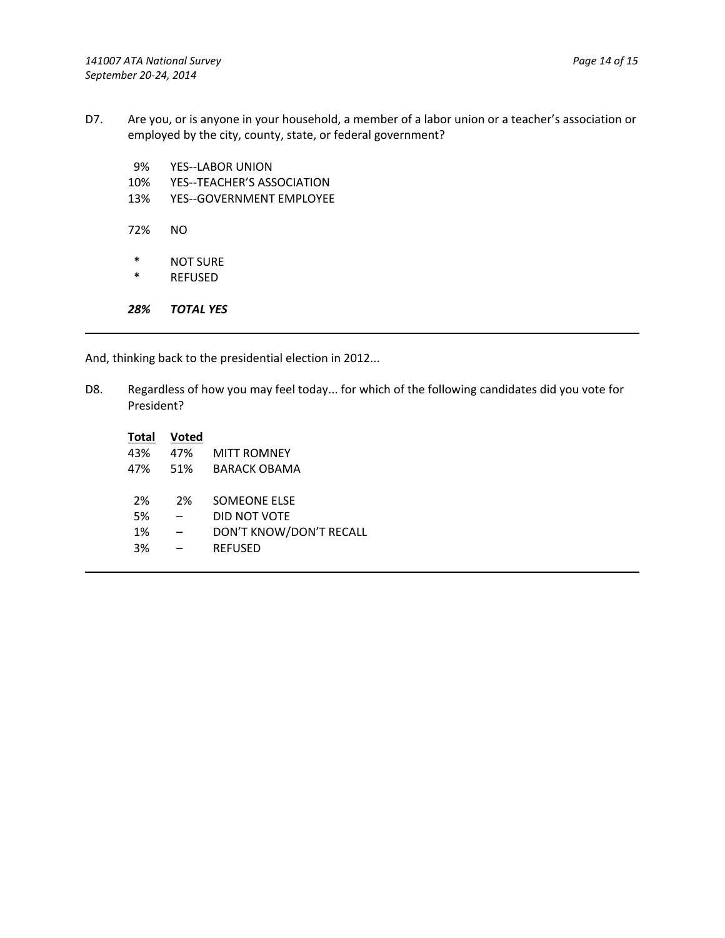- D7. Are you, or is anyone in your household, a member of a labor union or a teacher's association or employed by the city, county, state, or federal government?
	- 9% YES--LABOR UNION
	- 10% YES--TEACHER'S ASSOCIATION
	- 13% YES--GOVERNMENT EMPLOYEE
	- 72% NO
	- \* NOT SURE
	- **REFUSED**

*28% TOTAL YES*

And, thinking back to the presidential election in 2012...

D8. Regardless of how you may feel today... for which of the following candidates did you vote for President?

| MITT ROMNEY             |
|-------------------------|
| BARACK OBAMA            |
| <b>SOMFONE FLSE</b>     |
| DID NOT VOTE            |
| DON'T KNOW/DON'T RECALL |
|                         |
|                         |